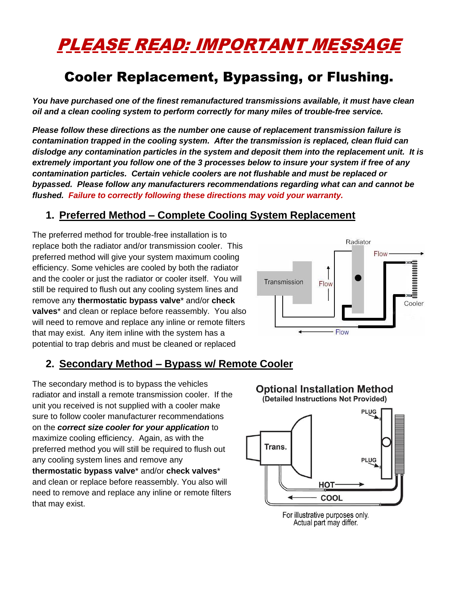# PLEASE READ: IMPORTANT MESSAGE

## Cooler Replacement, Bypassing, or Flushing.

*You have purchased one of the finest remanufactured transmissions available, it must have clean oil and a clean cooling system to perform correctly for many miles of trouble-free service.* 

*Please follow these directions as the number one cause of replacement transmission failure is contamination trapped in the cooling system. After the transmission is replaced, clean fluid can dislodge any contamination particles in the system and deposit them into the replacement unit. It is extremely important you follow one of the 3 processes below to insure your system if free of any contamination particles. Certain vehicle coolers are not flushable and must be replaced or bypassed. Please follow any manufacturers recommendations regarding what can and cannot be flushed. Failure to correctly following these directions may void your warranty.* 

#### **1. Preferred Method – Complete Cooling System Replacement**

The preferred method for trouble-free installation is to replace both the radiator and/or transmission cooler. This preferred method will give your system maximum cooling efficiency. Some vehicles are cooled by both the radiator and the cooler or just the radiator or cooler itself. You will still be required to flush out any cooling system lines and remove any **thermostatic bypass valve**\* and/or **check valves**\* and clean or replace before reassembly. You also will need to remove and replace any inline or remote filters that may exist. Any item inline with the system has a potential to trap debris and must be cleaned or replaced

#### **2. Secondary Method – Bypass w/ Remote Cooler**

The secondary method is to bypass the vehicles radiator and install a remote transmission cooler. If the unit you received is not supplied with a cooler make sure to follow cooler manufacturer recommendations on the *correct size cooler for your application* to maximize cooling efficiency. Again, as with the preferred method you will still be required to flush out any cooling system lines and remove any **thermostatic bypass valve**\* and/or **check valves**\* and clean or replace before reassembly. You also will need to remove and replace any inline or remote filters that may exist.

**Optional Installation Method** 

Flow

Flow

Transmission

Radiator

 $Flow-$ 

**BARBARA BARBARA** 

Cooler



For illustrative purposes only. Actual part may differ.